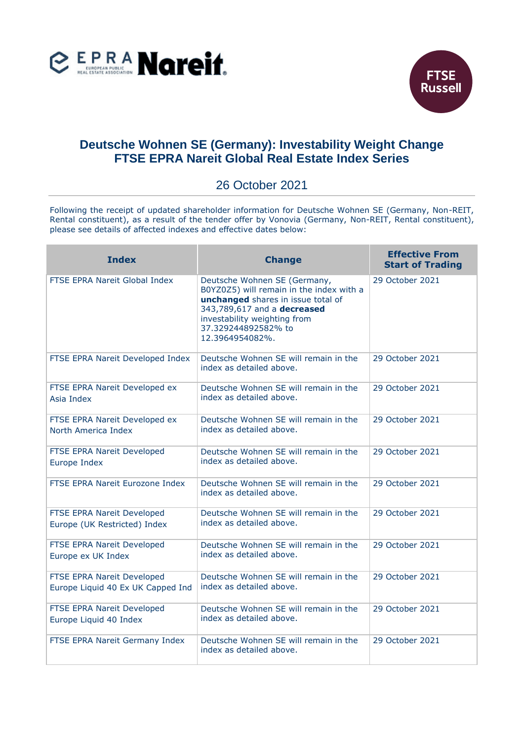



## **Deutsche Wohnen SE (Germany): Investability Weight Change FTSE EPRA Nareit Global Real Estate Index Series**

## 26 October 2021

Following the receipt of updated shareholder information for Deutsche Wohnen SE (Germany, Non-REIT, Rental constituent), as a result of the tender offer by Vonovia (Germany, Non-REIT, Rental constituent), please see details of affected indexes and effective dates below:

| <b>Index</b>                                                    | <b>Change</b>                                                                                                                                                                                                           | <b>Effective From</b><br><b>Start of Trading</b> |
|-----------------------------------------------------------------|-------------------------------------------------------------------------------------------------------------------------------------------------------------------------------------------------------------------------|--------------------------------------------------|
| FTSE EPRA Nareit Global Index                                   | Deutsche Wohnen SE (Germany,<br>B0YZ0Z5) will remain in the index with a<br>unchanged shares in issue total of<br>343,789,617 and a decreased<br>investability weighting from<br>37.329244892582% to<br>12.3964954082%. | 29 October 2021                                  |
| FTSE EPRA Nareit Developed Index                                | Deutsche Wohnen SE will remain in the<br>index as detailed above.                                                                                                                                                       | 29 October 2021                                  |
| FTSE EPRA Nareit Developed ex<br>Asia Index                     | Deutsche Wohnen SE will remain in the<br>index as detailed above.                                                                                                                                                       | 29 October 2021                                  |
| FTSE EPRA Nareit Developed ex<br>North America Index            | Deutsche Wohnen SE will remain in the<br>index as detailed above.                                                                                                                                                       | 29 October 2021                                  |
| FTSE EPRA Nareit Developed<br>Europe Index                      | Deutsche Wohnen SE will remain in the<br>index as detailed above.                                                                                                                                                       | 29 October 2021                                  |
| FTSE EPRA Nareit Eurozone Index                                 | Deutsche Wohnen SE will remain in the<br>index as detailed above.                                                                                                                                                       | 29 October 2021                                  |
| FTSE EPRA Nareit Developed<br>Europe (UK Restricted) Index      | Deutsche Wohnen SE will remain in the<br>index as detailed above.                                                                                                                                                       | 29 October 2021                                  |
| FTSE EPRA Nareit Developed<br>Europe ex UK Index                | Deutsche Wohnen SE will remain in the<br>index as detailed above.                                                                                                                                                       | 29 October 2021                                  |
| FTSE EPRA Nareit Developed<br>Europe Liquid 40 Ex UK Capped Ind | Deutsche Wohnen SE will remain in the<br>index as detailed above.                                                                                                                                                       | 29 October 2021                                  |
| FTSE EPRA Nareit Developed<br>Europe Liquid 40 Index            | Deutsche Wohnen SE will remain in the<br>index as detailed above.                                                                                                                                                       | 29 October 2021                                  |
| FTSE EPRA Nareit Germany Index                                  | Deutsche Wohnen SE will remain in the<br>index as detailed above.                                                                                                                                                       | 29 October 2021                                  |